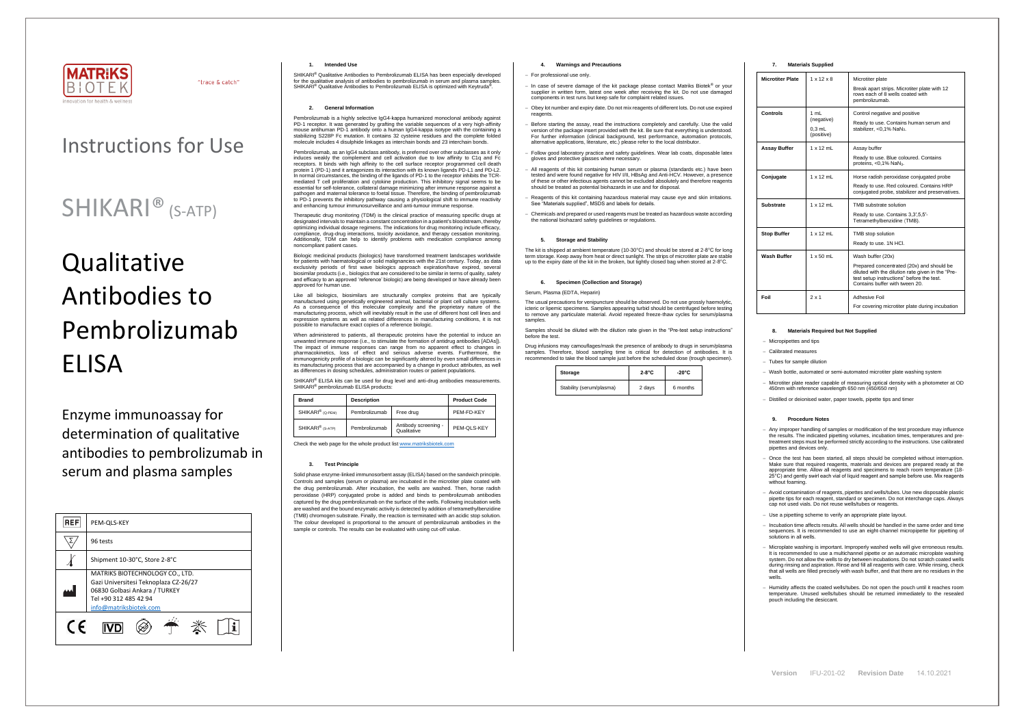

"trace & catch"

**Version** IFU-201-02 **Revision Date** 14.10.2021

## Instructions for Use

# **Qualitative** Antibodies to Pembrolizumab ELISA

## SHIKARI® (S-ATP)

Enzyme immunoassay for determination of qualitative antibodies to pembrolizumab in serum and plasma samples

| <b>REF</b> | PEM-QLS-KEY                                                                                                                                                  |  |  |
|------------|--------------------------------------------------------------------------------------------------------------------------------------------------------------|--|--|
|            | 96 tests                                                                                                                                                     |  |  |
|            | Shipment 10-30°C, Store 2-8°C                                                                                                                                |  |  |
|            | MATRIKS BIOTECHNOLOGY CO., LTD.<br>Gazi Universitesi Teknoplaza CZ-26/27<br>06830 Golbasi Ankara / TURKEY<br>Tel +90 312 485 42 94<br>info@matriksbiotek.com |  |  |
| $\epsilon$ |                                                                                                                                                              |  |  |

## **1. Intended Use**

Pembrolizumab, as an IgG4 subclass antibody, is preferred over other subclasses as it only induces weakly the complement and cell activation due to low affinity to C1q and Fc receptors. It binds with high affinity to the cell surface receptor programmed cell death cell death. protein 1 (PD-1) and it antagonizes its interaction with its known ligands PD-L1 and PD-L2. In normal circumstances, the binding of the ligands of PD-1 to the receptor inhibits the TCR-mediated T cell proliferation and cytokine production. This inhibitory signal seems to be essential for self-tolerance, collateral damage minimizing after immune response against a pathogen and maternal tolerance to foetal tissue. Therefore, the binding of pembrolizumab to PD-1 prevents the inhibitory pathway causing a physiological shift to immune reactivity and enhancing tumour immunosurveillance and anti-tumour immune response

SHIKARI® Qualitative Antibodies to Pembrolizumab ELISA has been especially developed for the qualitative analysis of antibodies to pembrolizumab in serum and plasma samples. SHIKARI<sup>®</sup> Qualitative Antibodies to Pembrolizumab ELISA is optimized with Keytruda<sup>®</sup> .

## **2. General Information**

Pembrolizumab is a highly selective IgG4-kappa humanized monoclonal antibody against PD-1 receptor. It was generated by grafting the variable sequences of a very high-affinity mouse antihuman PD-1 antibody onto a human IgG4-kappa isotype with the containing a stabilizing S228P Fc mutation. It contains 32 cysteine residues and the complete folded molecule includes 4 disulphide linkages as interchain bonds and 23 interchain bonds.

SHIKARI<sup>®</sup> ELISA kits can be used for drug level and anti-drug antibodies measurements. SHIKARI® pembrolizumab ELISA products:

Therapeutic drug monitoring (TDM) is the clinical practice of measuring specific drugs at designated intervals to maintain a constant concentration in a patient's bloodstream, thereby optimizing individual dosage regimens. The indications for drug monitoring include efficacy, compliance, drug-drug interactions, toxicity avoidance, and therapy cessation monitoring. Additionally, TDM can help to identify problems with medication compliance among noncompliant patient cases.

Biologic medicinal products (biologics) have transformed treatment landscapes worldwide for patients with haematological or solid malignancies with the 21st century. Today, as data exclusivity periods of first wave biologics approach expiration/have expired, several biosimilar products (i.e., biologics that are considered to be similar in terms of quality, safety and efficacy to an approved 'reference' biologic) are being developed or have already been approved for human use.

Like all biologics, biosimilars are structurally complex proteins that are typically manufactured using genetically engineered animal, bacterial or plant cell culture systems. As a consequence of this molecular complexity and the proprietary nature of the manufacturing process, which will inevitably result in the use of different host cell lines and expression systems as well as related differences in manufacturing conditions, it is not possible to manufacture exact copies of a reference biologic.

The usual precautions for venipuncture should be observed. Do not use grossly haemolytic, icteric or lipemic specimens. Samples appearing turbid should be centrifuged before testing to remove any particulate material. Avoid repeated freeze-thaw cycles for serum/plasma samples

When administered to patients, all therapeutic proteins have the potential to induce an unwanted immune response (i.e., to stimulate the formation of antidrug antibodies [ADAs]). The impact of immune responses can range from no apparent effect to changes in pharmacokinetics, loss of effect and serious adverse events. Furthermore, the immunogenicity profile of a biologic can be significantly altered by even small differences in its manufacturing process that are accompanied by a change in product attributes, as well as differences in dosing schedules, administration routes or patient populations.

| <b>Brand</b>                 | <b>Description</b> |                                     | <b>Product Code</b> |
|------------------------------|--------------------|-------------------------------------|---------------------|
| SHIKARI <sup>®</sup> (Q-PEM) | Pembrolizumab      | Free drug                           | PEM-FD-KEY          |
| SHIKARI <sup>®</sup> (S-ATP) | Pembrolizumab      | Antibody screening -<br>Qualitative | PEM-QLS-KEY         |

Check the web page for the whole product lis[t www.matriksbiotek.com](http://www.matriksbiotek.com/)

## **3. Test Principle**

Solid phase enzyme-linked immunosorbent assay (ELISA) based on the sandwich principle. Controls and samples (serum or plasma) are incubated in the microtiter plate coated with the drug pembrolizumab. After incubation, the wells are washed. Then, horse radish peroxidase (HRP) conjugated probe is added and binds to pembrolizumab antibodies captured by the drug pembrolizumab on the surface of the wells. Following incubation wells are washed and the bound enzymatic activity is detected by addition of tetramethylbenzidine (TMB) chromogen substrate. Finally, the reaction is terminated with an acidic stop solution. The colour developed is proportional to the amount of pembrolizumab antibodies in the sample or controls. The results can be evaluated with using cut-off value.

Once the test has been started, all steps should be completed without interruption.<br>Make sure that required reagents, materials and devices are prepared ready at the<br>appropriate time. Allow all reagents and specimens to re 25°C) and gently swirl each vial of liquid reagent and sample before use. Mix reagents without foaming.

#### **4. Warnings and Precautions**

#### − For professional use only.

- − In case of severe damage of the kit package please contact Matriks Biotek® or your supplier in written form, latest one week after receiving the kit. Do not use damaged components in test runs but keep safe for complaint related issues.
- Obey lot number and expiry date. Do not mix reagents of different lots. Do not use expired reagents
- Before starting the assay, read the instructions completely and carefully. Use the valid version of the package insert provided with the kit. Be sure that everything is understood. For further information (clinical background, test performance, automation protocols, alternative applications, literature, etc.) please refer to the local distributor.
- − Follow good laboratory practice and safety guidelines. Wear lab coats, disposable latex gloves and protective glasses where necessary.
- − All reagents of this kit containing human serum or plasma (standards etc.) have been tested and were found negative for HIV I/II, HBsAg and Anti-HCV. However, a presence of these or other infectious agents cannot be excluded absolutely and therefore reagents should be treated as potential biohazards in use and for disposal.
- − Reagents of this kit containing hazardous material may cause eye and skin irritations. See "Materials supplied", MSDS and labels for details.
- − Chemicals and prepared or used reagents must be treated as hazardous waste according the national biohazard safety guidelines or regulations.

## **5. Storage and Stability**

The kit is shipped at ambient temperature (10-30°C) and should be stored at 2-8°C for long m storage. Keep away from heat or direct sunlight. The strips of microtiter plate are stab up to the expiry date of the kit in the broken, but tightly closed bag when stored at 2-8°C.

### **6. Specimen (Collection and Storage)**

### Serum, Plasma (EDTA, Heparin)

Samples should be diluted with the dilution rate given in the "Pre-test setup instructions" before the test.

Drug infusions may camouflages/mask the presence of antibody to drugs in serum/plasma samples. Therefore, blood sampling time is critical for detection of antibodies. It is recommended to take the blood sample just before the scheduled dose (trough specimen).

| Storage                  | $2-8$ °C | $-20^{\circ}$ C |
|--------------------------|----------|-----------------|
| Stability (serum/plasma) | 2 days   | 6 months        |

## **7. Materials Supplied**

| <b>Microtiter Plate</b> | $1 \times 12 \times 8$                       | Microtiter plate<br>Break apart strips. Microtiter plate with 12<br>rows each of 8 wells coated with<br>pembrolizumab.                                                                             |
|-------------------------|----------------------------------------------|----------------------------------------------------------------------------------------------------------------------------------------------------------------------------------------------------|
| Controls                | 1 mL<br>(negative)<br>$0.3$ mL<br>(positive) | Control negative and positive<br>Ready to use. Contains human serum and<br>stabilizer. < 0.1% NaN <sub>3</sub> .                                                                                   |
| <b>Assay Buffer</b>     | $1 \times 12$ mL                             | Assay buffer<br>Ready to use. Blue coloured. Contains<br>proteins, <0,1% NaN <sub>3</sub> .                                                                                                        |
| Conjugate               | $1 \times 12$ ml                             | Horse radish peroxidase conjugated probe<br>Ready to use. Red coloured. Contains HRP<br>conjugated probe, stabilizer and preservatives.                                                            |
| Substrate               | $1 \times 12$ mL                             | TMB substrate solution<br>Ready to use. Contains 3,3',5,5'-<br>Tetramethylbenzidine (TMB).                                                                                                         |
| <b>Stop Buffer</b>      | $1 \times 12$ mL                             | TMB stop solution<br>Ready to use. 1N HCl.                                                                                                                                                         |
| <b>Wash Buffer</b>      | $1 \times 50$ mL                             | Wash buffer (20x)<br>Prepared concentrated (20x) and should be<br>diluted with the dilution rate given in the "Pre-<br>test setup instructions" before the test.<br>Contains buffer with tween 20. |
| Foil                    | $2 \times 1$                                 | Adhesive Foil<br>For covering microtiter plate during incubation                                                                                                                                   |

## **8. Materials Required but Not Supplied**

− Micropipettes and tips

− Calibrated measures

− Tubes for sample dilution

Wash bottle, automated or semi-automated microtiter plate washing system

− Microtiter plate reader capable of measuring optical density with a photometer at OD 450nm with reference wavelength 650 nm (450/650 nm)

− Distilled or deionised water, paper towels, pipette tips and timer

## **9. Procedure Notes**

− Any improper handling of samples or modification of the test procedure may influence the results. The indicated pipetting volumes, incubation times, temperatures and pretreatment steps must be performed strictly according to the instructions. Use calibrated pipettes and devices only.

− Avoid contamination of reagents, pipettes and wells/tubes. Use new disposable plastic pipette tips for each reagent, standard or specimen. Do not interchange caps. Always cap not used vials. Do not reuse wells/tubes or reagents.

− Use a pipetting scheme to verify an appropriate plate layout.

− Incubation time affects results. All wells should be handled in the same order and time sequences. It is recommended to use an eight-channel micropipette for pipetting of solutions in all wells.

− Microplate washing is important. Improperly washed wells will give erroneous results. It is recommended to use a multichannel pipette or an automatic microplate washing system. Do not allow the wells to dry between incubations. Do not scratch coated wells during rinsing and aspiration. Rinse and fill all reagents with care. While rinsing, check that all wells are filled precisely with wash buffer, and that there are no residues in the wells.

− Humidity affects the coated wells/tubes. Do not open the pouch until it reaches room temperature. Unused wells/tubes should be returned immediately to the resealed pouch including the desiccant.